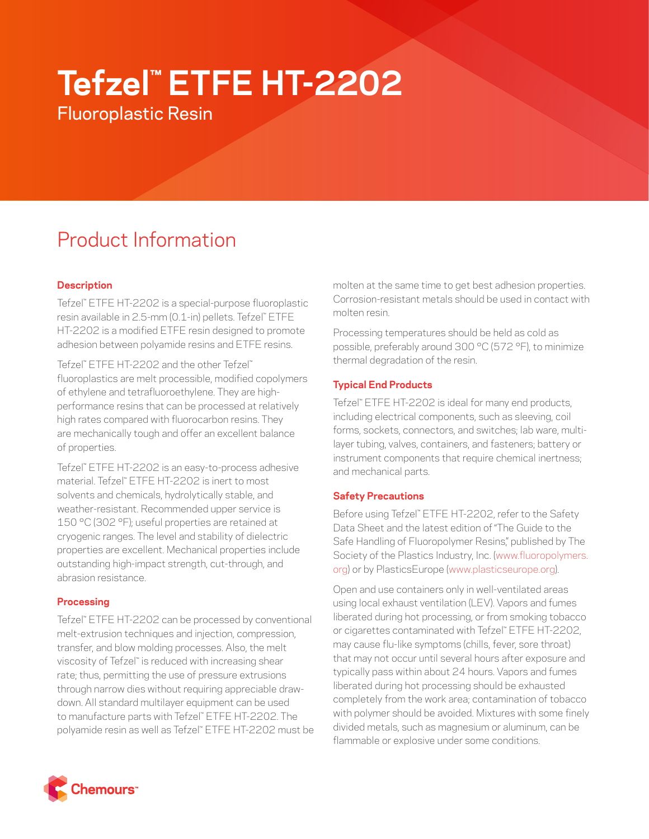# **Tefzel™ ETFE HT-2202**

Fluoroplastic Resin

# Product Information

# **Description**

Tefzel™ ETFE HT-2202 is a special-purpose fluoroplastic resin available in 2.5-mm (0.1-in) pellets. Tefzel™ ETFE HT-2202 is a modified ETFE resin designed to promote adhesion between polyamide resins and ETFE resins.

Tefzel™ ETFE HT-2202 and the other Tefzel™ fluoroplastics are melt processible, modified copolymers of ethylene and tetrafluoroethylene. They are highperformance resins that can be processed at relatively high rates compared with fluorocarbon resins. They are mechanically tough and offer an excellent balance of properties.

Tefzel™ ETFE HT-2202 is an easy-to-process adhesive material. Tefzel™ ETFE HT-2202 is inert to most solvents and chemicals, hydrolytically stable, and weather-resistant. Recommended upper service is 150 °C (302 °F); useful properties are retained at cryogenic ranges. The level and stability of dielectric properties are excellent. Mechanical properties include outstanding high-impact strength, cut-through, and abrasion resistance.

# **Processing**

Tefzel™ ETFE HT-2202 can be processed by conventional melt-extrusion techniques and injection, compression, transfer, and blow molding processes. Also, the melt viscosity of Tefzel™ is reduced with increasing shear rate; thus, permitting the use of pressure extrusions through narrow dies without requiring appreciable drawdown. All standard multilayer equipment can be used to manufacture parts with Tefzel™ ETFE HT-2202. The polyamide resin as well as Tefzel™ ETFE HT-2202 must be molten at the same time to get best adhesion properties. Corrosion-resistant metals should be used in contact with molten resin.

Processing temperatures should be held as cold as possible, preferably around 300 °C (572 °F), to minimize thermal degradation of the resin.

# **Typical End Products**

Tefzel™ ETFE HT-2202 is ideal for many end products, including electrical components, such as sleeving, coil forms, sockets, connectors, and switches; lab ware, multilayer tubing, valves, containers, and fasteners; battery or instrument components that require chemical inertness; and mechanical parts.

# **Safety Precautions**

Before using Tefzel™ ETFE HT-2202, refer to the Safety Data Sheet and the latest edition of "The Guide to the Safe Handling of Fluoropolymer Resins," published by The Society of the Plastics Industry, Inc. ([www.fluoropolymers.](http://www.fluoropolymers.org) [org](http://www.fluoropolymers.org)) or by PlasticsEurope ([www.plasticseurope.org\)](http://www.plasticseurope.org).

Open and use containers only in well-ventilated areas using local exhaust ventilation (LEV). Vapors and fumes liberated during hot processing, or from smoking tobacco or cigarettes contaminated with Tefzel™ ETFE HT-2202, may cause flu-like symptoms (chills, fever, sore throat) that may not occur until several hours after exposure and typically pass within about 24 hours. Vapors and fumes liberated during hot processing should be exhausted completely from the work area; contamination of tobacco with polymer should be avoided. Mixtures with some finely divided metals, such as magnesium or aluminum, can be flammable or explosive under some conditions.